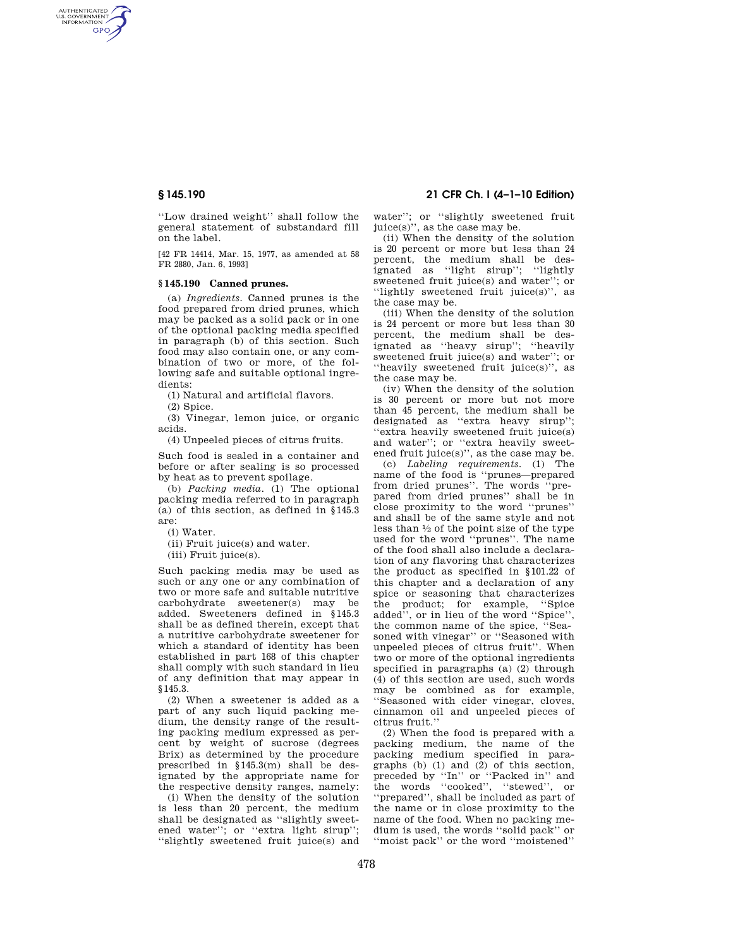AUTHENTICATED<br>U.S. GOVERNMENT<br>INFORMATION **GPO** 

> ''Low drained weight'' shall follow the general statement of substandard fill on the label.

> [42 FR 14414, Mar. 15, 1977, as amended at 58 FR 2880, Jan. 6, 1993]

### **§ 145.190 Canned prunes.**

(a) *Ingredients.* Canned prunes is the food prepared from dried prunes, which may be packed as a solid pack or in one of the optional packing media specified in paragraph (b) of this section. Such food may also contain one, or any combination of two or more, of the following safe and suitable optional ingredients:

(1) Natural and artificial flavors.

(2) Spice.

(3) Vinegar, lemon juice, or organic acids.

(4) Unpeeled pieces of citrus fruits.

Such food is sealed in a container and before or after sealing is so processed by heat as to prevent spoilage.

(b) *Packing media.* (1) The optional packing media referred to in paragraph (a) of this section, as defined in §145.3 are:

(i) Water.

(ii) Fruit juice(s) and water.

(iii) Fruit juice(s).

Such packing media may be used as such or any one or any combination of two or more safe and suitable nutritive carbohydrate sweetener(s) may be added. Sweeteners defined in §145.3 shall be as defined therein, except that a nutritive carbohydrate sweetener for which a standard of identity has been established in part 168 of this chapter shall comply with such standard in lieu of any definition that may appear in §145.3.

(2) When a sweetener is added as a part of any such liquid packing medium, the density range of the resulting packing medium expressed as percent by weight of sucrose (degrees Brix) as determined by the procedure prescribed in §145.3(m) shall be designated by the appropriate name for the respective density ranges, namely:

(i) When the density of the solution is less than 20 percent, the medium shall be designated as ''slightly sweetened water''; or ''extra light sirup''; ''slightly sweetened fruit juice(s) and

## **§ 145.190 21 CFR Ch. I (4–1–10 Edition)**

water''; or ''slightly sweetened fruit juice(s)'', as the case may be.

(ii) When the density of the solution is 20 percent or more but less than 24 percent, the medium shall be designated as ''light sirup''; ''lightly sweetened fruit juice(s) and water''; or ''lightly sweetened fruit juice(s)'', as the case may be.

(iii) When the density of the solution is 24 percent or more but less than 30 percent, the medium shall be designated as ''heavy sirup''; ''heavily sweetened fruit juice(s) and water''; or ''heavily sweetened fruit juice(s)'', as the case may be.

(iv) When the density of the solution is 30 percent or more but not more than 45 percent, the medium shall be designated as ''extra heavy sirup''; ''extra heavily sweetened fruit juice(s) and water''; or ''extra heavily sweetened fruit juice(s)'', as the case may be.

(c) *Labeling requirements.* (1) The name of the food is ''prunes—prepared from dried prunes''. The words ''prepared from dried prunes'' shall be in close proximity to the word ''prunes'' and shall be of the same style and not less than  $\frac{1}{2}$  of the point size of the type used for the word ''prunes''. The name of the food shall also include a declaration of any flavoring that characterizes the product as specified in §101.22 of this chapter and a declaration of any spice or seasoning that characterizes the product; for example, ''Spice added'', or in lieu of the word ''Spice'', the common name of the spice, ''Seasoned with vinegar'' or ''Seasoned with unpeeled pieces of citrus fruit''. When two or more of the optional ingredients specified in paragraphs (a) (2) through (4) of this section are used, such words may be combined as for example, ''Seasoned with cider vinegar, cloves, cinnamon oil and unpeeled pieces of citrus fruit.''

(2) When the food is prepared with a packing medium, the name of the packing medium specified in paragraphs (b) (1) and (2) of this section, preceded by ''In'' or ''Packed in'' and the words ''cooked'', ''stewed'', or ''prepared'', shall be included as part of the name or in close proximity to the name of the food. When no packing medium is used, the words ''solid pack'' or ''moist pack'' or the word ''moistened''